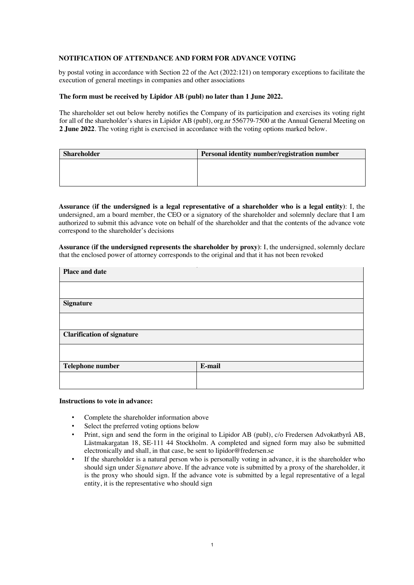## **NOTIFICATION OF ATTENDANCE AND FORM FOR ADVANCE VOTING**

by postal voting in accordance with Section 22 of the Act (2022:121) on temporary exceptions to facilitate the execution of general meetings in companies and other associations

## **The form must be received by Lipidor AB (publ) no later than 1 June 2022.**

The shareholder set out below hereby notifies the Company of its participation and exercises its voting right for all of the shareholder's shares in Lipidor AB (publ), org.nr 556779-7500 at the Annual General Meeting on **2 June 2022**. The voting right is exercised in accordance with the voting options marked below.

| Shareholder | Personal identity number/registration number |
|-------------|----------------------------------------------|
|             |                                              |
|             |                                              |
|             |                                              |

**Assurance (if the undersigned is a legal representative of a shareholder who is a legal entity)**: I, the undersigned, am a board member, the CEO or a signatory of the shareholder and solemnly declare that I am authorized to submit this advance vote on behalf of the shareholder and that the contents of the advance vote correspond to the shareholder's decisions

**Assurance (if the undersigned represents the shareholder by proxy)**: I, the undersigned, solemnly declare that the enclosed power of attorney corresponds to the original and that it has not been revoked

| Place and date                    |        |
|-----------------------------------|--------|
|                                   |        |
| <b>Signature</b>                  |        |
|                                   |        |
| <b>Clarification of signature</b> |        |
|                                   |        |
| Telephone number                  | E-mail |
|                                   |        |

## **Instructions to vote in advance:**

- Complete the shareholder information above
- Select the preferred voting options below
- Print, sign and send the form in the original to Lipidor AB (publ), c/o Fredersen Advokatbyrå AB, Lästmakargatan 18, SE-111 44 Stockholm. A completed and signed form may also be submitted electronically and shall, in that case, be sent to lipidor@fredersen.se
- If the shareholder is a natural person who is personally voting in advance, it is the shareholder who should sign under *Signature* above. If the advance vote is submitted by a proxy of the shareholder, it is the proxy who should sign. If the advance vote is submitted by a legal representative of a legal entity, it is the representative who should sign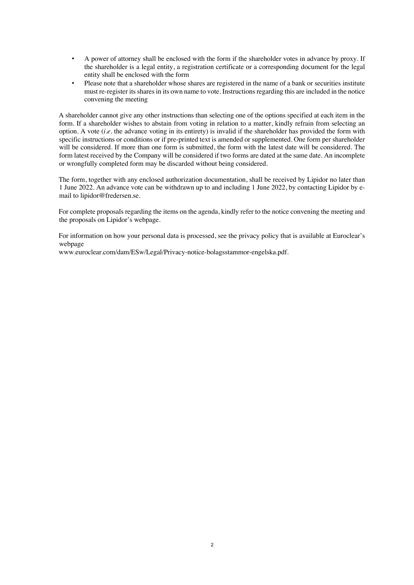- A power of attorney shall be enclosed with the form if the shareholder votes in advance by proxy. If the shareholder is a legal entity, a registration certificate or a corresponding document for the legal entity shall be enclosed with the form
- Please note that a shareholder whose shares are registered in the name of a bank or securities institute must re-register its shares in its own name to vote. Instructions regarding this are included in the notice convening the meeting

A shareholder cannot give any other instructions than selecting one of the options specified at each item in the form. If a shareholder wishes to abstain from voting in relation to a matter, kindly refrain from selecting an option. A vote (*i.e.* the advance voting in its entirety) is invalid if the shareholder has provided the form with specific instructions or conditions or if pre-printed text is amended or supplemented. One form per shareholder will be considered. If more than one form is submitted, the form with the latest date will be considered. The form latest received by the Company will be considered if two forms are dated at the same date. An incomplete or wrongfully completed form may be discarded without being considered.

The form, together with any enclosed authorization documentation, shall be received by Lipidor no later than 1 June 2022. An advance vote can be withdrawn up to and including 1 June 2022, by contacting Lipidor by email to lipidor@fredersen.se.

For complete proposals regarding the items on the agenda, kindly refer to the notice convening the meeting and the proposals on Lipidor's webpage.

For information on how your personal data is processed, see the privacy policy that is available at Euroclear's webpage

www.euroclear.com/dam/ESw/Legal/Privacy-notice-bolagsstammor-engelska.pdf.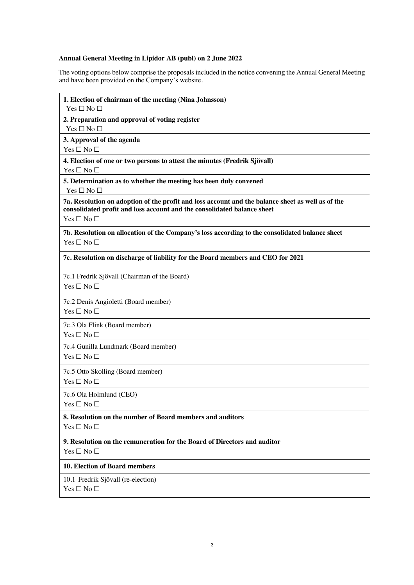## **Annual General Meeting in Lipidor AB (publ) on 2 June 2022**

The voting options below comprise the proposals included in the notice convening the Annual General Meeting and have been provided on the Company's website.

| 1. Election of chairman of the meeting (Nina Johnsson)<br>Yes $\square$ No $\square$                                                                                                               |
|----------------------------------------------------------------------------------------------------------------------------------------------------------------------------------------------------|
| 2. Preparation and approval of voting register<br>Yes $\square$ No $\square$                                                                                                                       |
| 3. Approval of the agenda<br>$Yes \Box No \Box$                                                                                                                                                    |
| 4. Election of one or two persons to attest the minutes (Fredrik Sjövall)<br>Yes $\square$ No $\square$                                                                                            |
| 5. Determination as to whether the meeting has been duly convened<br>$Yes \Box No \Box$                                                                                                            |
| 7a. Resolution on adoption of the profit and loss account and the balance sheet as well as of the<br>consolidated profit and loss account and the consolidated balance sheet<br>$Yes \Box No \Box$ |
| 7b. Resolution on allocation of the Company's loss according to the consolidated balance sheet<br>$Yes \Box No \Box$                                                                               |
| 7c. Resolution on discharge of liability for the Board members and CEO for 2021                                                                                                                    |
| 7c.1 Fredrik Sjövall (Chairman of the Board)<br>Yes $\square$ No $\square$                                                                                                                         |
| 7c.2 Denis Angioletti (Board member)<br>Yes $\square$ No $\square$                                                                                                                                 |
| 7c.3 Ola Flink (Board member)<br>$Yes \Box No \Box$                                                                                                                                                |
| 7c.4 Gunilla Lundmark (Board member)<br>Yes $\square$ No $\square$                                                                                                                                 |
| 7c.5 Otto Skolling (Board member)<br>Yes $\square$ No $\square$                                                                                                                                    |
| 7c.6 Ola Holmlund (CEO)<br>$Yes \Box No \Box$                                                                                                                                                      |
| 8. Resolution on the number of Board members and auditors<br>$Yes \Box No \Box$                                                                                                                    |
| 9. Resolution on the remuneration for the Board of Directors and auditor<br>$Yes \Box No \Box$                                                                                                     |
| <b>10. Election of Board members</b>                                                                                                                                                               |
| 10.1 Fredrik Sjövall (re-election)<br>$Yes \Box No \Box$                                                                                                                                           |